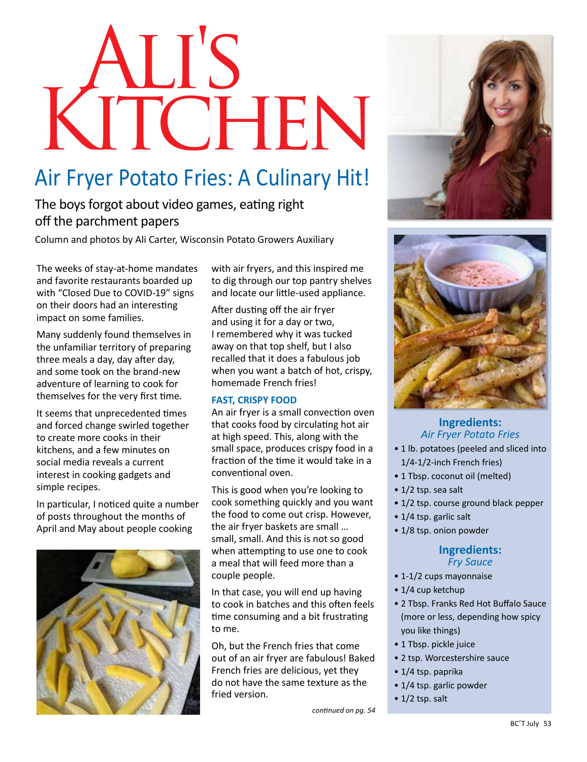# **KITCHEN**

# Air Fryer Potato Fries: A Culinary Hit!

The boys forgot about video games, eating right off the parchment papers

Column and photos by Ali Carter, Wisconsin Potato Growers Auxiliary

The weeks of stay-at-home mandates and favorite restaurants boarded up with "Closed Due to COVID-19" signs on their doors had an interesting impact on some families.

Many suddenly found themselves in the unfamiliar territory of preparing three meals a day, day after day, and some took on the brand-new adventure of learning to cook for themselves for the very first time.

It seems that unprecedented times and forced change swirled together to create more cooks in their kitchens, and a few minutes on social media reveals a current interest in cooking gadgets and simple recipes.

In particular, I noticed quite a number of posts throughout the months of April and May about people cooking



with air fryers, and this inspired me to dig through our top pantry shelves and locate our little-used appliance.

After dusting off the air fryer and using it for a day or two, I remembered why it was tucked away on that top shelf, but I also recalled that it does a fabulous job when you want a batch of hot, crispy, homemade French fries!

### **FAST, CRISPY FOOD**

An air fryer is a small convection oven that cooks food by circulating hot air at high speed. This, along with the small space, produces crispy food in a fraction of the time it would take in a conventional oven.

This is good when you're looking to cook something quickly and you want the food to come out crisp. However, the air fryer baskets are small … small, small. And this is not so good when attempting to use one to cook a meal that will feed more than a couple people.

In that case, you will end up having to cook in batches and this often feels time consuming and a bit frustrating to me.

Oh, but the French fries that come out of an air fryer are fabulous! Baked French fries are delicious, yet they do not have the same texture as the fried version.







### **Ingredients:**  *Air Fryer Potato Fries*

- 1 lb. potatoes (peeled and sliced into 1/4-1/2-inch French fries)
- 1 Tbsp. coconut oil (melted)
- 1/2 tsp. sea salt
- 1/2 tsp. course ground black pepper
- 1/4 tsp. garlic salt
- 1/8 tsp. onion powder

### **Ingredients:**  *Fry Sauce*

- 1-1/2 cups mayonnaise
- 1/4 cup ketchup
- 2 Tbsp. Franks Red Hot Buffalo Sauce (more or less, depending how spicy you like things)
- 1 Tbsp. pickle juice
- 2 tsp. Worcestershire sauce
- 1/4 tsp. paprika
- 1/4 tsp. garlic powder
- $\cdot$  1/2 tsp. salt